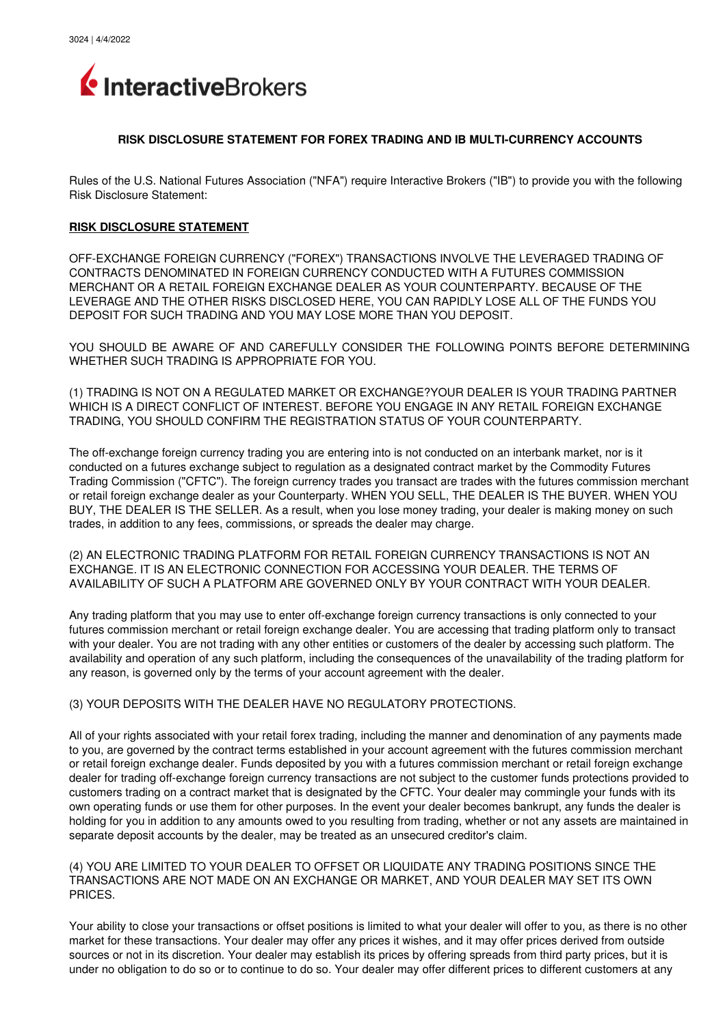

#### **RISK DISCLOSURE STATEMENT FOR FOREX TRADING AND IB MULTICURRENCY ACCOUNTS**

Rules of the U.S. National Futures Association ("NFA") require Interactive Brokers ("IB") to provide you with the following Risk Disclosure Statement:

### **RISK DISCLOSURE STATEMENT**

OFF-EXCHANGE FOREIGN CURRENCY ("FOREX") TRANSACTIONS INVOLVE THE LEVERAGED TRADING OF CONTRACTS DENOMINATED IN FOREIGN CURRENCY CONDUCTED WITH A FUTURES COMMISSION MERCHANT OR A RETAIL FOREIGN EXCHANGE DEALER AS YOUR COUNTERPARTY. BECAUSE OF THE LEVERAGE AND THE OTHER RISKS DISCLOSED HERE, YOU CAN RAPIDLY LOSE ALL OF THE FUNDS YOU DEPOSIT FOR SUCH TRADING AND YOU MAY LOSE MORE THAN YOU DEPOSIT.

YOU SHOULD BE AWARE OF AND CAREFULLY CONSIDER THE FOLLOWING POINTS BEFORE DETERMINING WHETHER SUCH TRADING IS APPROPRIATE FOR YOU.

(1) TRADING IS NOT ON A REGULATED MARKET OR EXCHANGE?YOUR DEALER IS YOUR TRADING PARTNER WHICH IS A DIRECT CONFLICT OF INTEREST. BEFORE YOU ENGAGE IN ANY RETAIL FOREIGN EXCHANGE TRADING, YOU SHOULD CONFIRM THE REGISTRATION STATUS OF YOUR COUNTERPARTY.

The off-exchange foreign currency trading you are entering into is not conducted on an interbank market, nor is it conducted on a futures exchange subject to regulation as a designated contract market by the Commodity Futures Trading Commission ("CFTC"). The foreign currency trades you transact are trades with the futures commission merchant or retail foreign exchange dealer as your Counterparty. WHEN YOU SELL, THE DEALER IS THE BUYER. WHEN YOU BUY, THE DEALER IS THE SELLER. As a result, when you lose money trading, your dealer is making money on such trades, in addition to any fees, commissions, or spreads the dealer may charge.

(2) AN ELECTRONIC TRADING PLATFORM FOR RETAIL FOREIGN CURRENCY TRANSACTIONS IS NOT AN EXCHANGE. IT IS AN ELECTRONIC CONNECTION FOR ACCESSING YOUR DEALER. THE TERMS OF AVAILABILITY OF SUCH A PLATFORM ARE GOVERNED ONLY BY YOUR CONTRACT WITH YOUR DEALER.

Any trading platform that you may use to enter offexchange foreign currency transactions is only connected to your futures commission merchant or retail foreign exchange dealer. You are accessing that trading platform only to transact with your dealer. You are not trading with any other entities or customers of the dealer by accessing such platform. The availability and operation of any such platform, including the consequences of the unavailability of the trading platform for any reason, is governed only by the terms of your account agreement with the dealer.

#### (3) YOUR DEPOSITS WITH THE DEALER HAVE NO REGULATORY PROTECTIONS.

All of your rights associated with your retail forex trading, including the manner and denomination of any payments made to you, are governed by the contract terms established in your account agreement with the futures commission merchant or retail foreign exchange dealer. Funds deposited by you with a futures commission merchant or retail foreign exchange dealer for trading off-exchange foreign currency transactions are not subject to the customer funds protections provided to customers trading on a contract market that is designated by the CFTC. Your dealer may commingle your funds with its own operating funds or use them for other purposes. In the event your dealer becomes bankrupt, any funds the dealer is holding for you in addition to any amounts owed to you resulting from trading, whether or not any assets are maintained in separate deposit accounts by the dealer, may be treated as an unsecured creditor's claim.

#### (4) YOU ARE LIMITED TO YOUR DEALER TO OFFSET OR LIQUIDATE ANY TRADING POSITIONS SINCE THE TRANSACTIONS ARE NOT MADE ON AN EXCHANGE OR MARKET, AND YOUR DEALER MAY SET ITS OWN PRICES.

Your ability to close your transactions or offset positions is limited to what your dealer will offer to you, as there is no other market for these transactions. Your dealer may offer any prices it wishes, and it may offer prices derived from outside sources or not in its discretion. Your dealer may establish its prices by offering spreads from third party prices, but it is under no obligation to do so or to continue to do so. Your dealer may offer different prices to different customers at any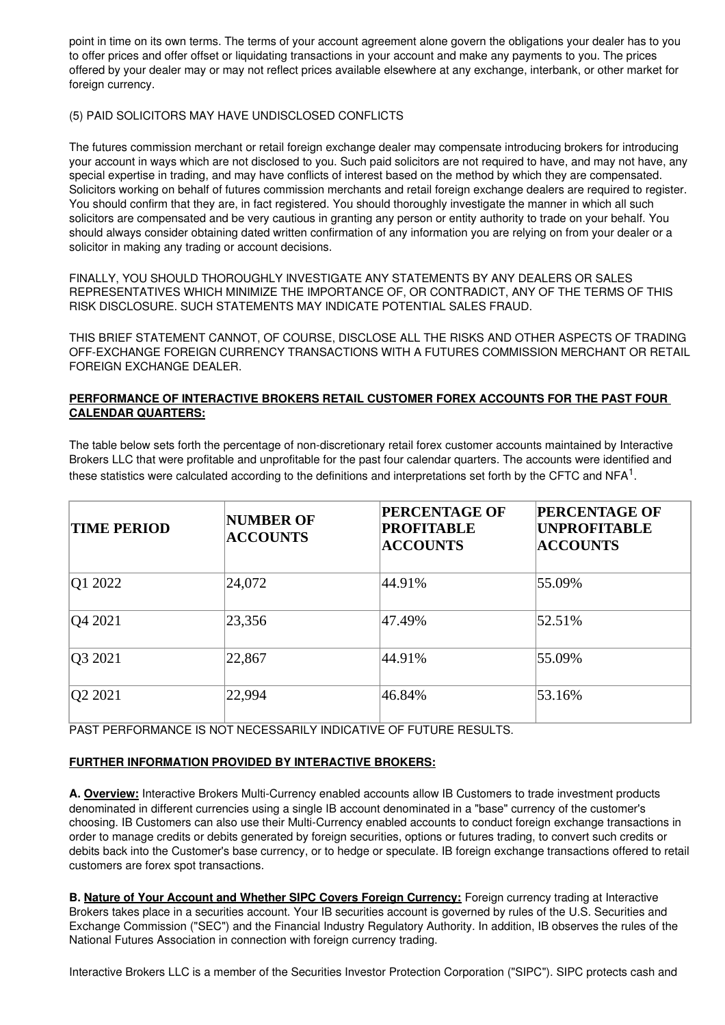point in time on its own terms. The terms of your account agreement alone govern the obligations your dealer has to you to offer prices and offer offset or liquidating transactions in your account and make any payments to you. The prices offered by your dealer may or may not reflect prices available elsewhere at any exchange, interbank, or other market for foreign currency.

## (5) PAID SOLICITORS MAY HAVE UNDISCLOSED CONFLICTS

The futures commission merchant or retail foreign exchange dealer may compensate introducing brokers for introducing your account in ways which are not disclosed to you. Such paid solicitors are not required to have, and may not have, any special expertise in trading, and may have conflicts of interest based on the method by which they are compensated. Solicitors working on behalf of futures commission merchants and retail foreign exchange dealers are required to register. You should confirm that they are, in fact registered. You should thoroughly investigate the manner in which all such solicitors are compensated and be very cautious in granting any person or entity authority to trade on your behalf. You should always consider obtaining dated written confirmation of any information you are relying on from your dealer or a solicitor in making any trading or account decisions.

FINALLY, YOU SHOULD THOROUGHLY INVESTIGATE ANY STATEMENTS BY ANY DEALERS OR SALES REPRESENTATIVES WHICH MINIMIZE THE IMPORTANCE OF, OR CONTRADICT, ANY OF THE TERMS OF THIS RISK DISCLOSURE. SUCH STATEMENTS MAY INDICATE POTENTIAL SALES FRAUD.

THIS BRIEF STATEMENT CANNOT, OF COURSE, DISCLOSE ALL THE RISKS AND OTHER ASPECTS OF TRADING OFF-EXCHANGE FOREIGN CURRENCY TRANSACTIONS WITH A FUTURES COMMISSION MERCHANT OR RETAIL FOREIGN EXCHANGE DEALER.

## **PERFORMANCE OF INTERACTIVE BROKERS RETAIL CUSTOMER FOREX ACCOUNTS FOR THE PAST FOUR CALENDAR QUARTERS:**

The table below sets forth the percentage of non-discretionary retail forex customer accounts maintained by Interactive Brokers LLC that were profitable and unprofitable for the past four calendar quarters. The accounts were identified and these statistics were calculated according to the definitions and interpretations set forth by the CFTC and NFA $^1$ .

| <b>TIME PERIOD</b> | <b>NUMBER OF</b><br><b>ACCOUNTS</b> | <b>PERCENTAGE OF</b><br><b>PROFITABLE</b><br><b>ACCOUNTS</b> | <b>PERCENTAGE OF</b><br><b>UNPROFITABLE</b><br><b>ACCOUNTS</b> |
|--------------------|-------------------------------------|--------------------------------------------------------------|----------------------------------------------------------------|
| Q1 2022            | 24,072                              | 44.91%                                                       | 55.09%                                                         |
| Q4 2021            | 23,356                              | 47.49%                                                       | 52.51%                                                         |
| Q3 2021            | 22,867                              | 44.91%                                                       | 55.09%                                                         |
| Q2 2021            | 22,994                              | 46.84%                                                       | 53.16%                                                         |

PAST PERFORMANCE IS NOT NECESSARILY INDICATIVE OF FUTURE RESULTS.

# **FURTHER INFORMATION PROVIDED BY INTERACTIVE BROKERS:**

**A. Overview:** Interactive Brokers Multi-Currency enabled accounts allow IB Customers to trade investment products denominated in different currencies using a single IB account denominated in a "base" currency of the customer's choosing. IB Customers can also use their Multi-Currency enabled accounts to conduct foreign exchange transactions in order to manage credits or debits generated by foreign securities, options or futures trading, to convert such credits or debits back into the Customer's base currency, or to hedge or speculate. IB foreign exchange transactions offered to retail customers are forex spot transactions.

**B. Nature of Your Account and Whether SIPC Covers Foreign Currency:** Foreign currency trading at Interactive Brokers takes place in a securities account. Your IB securities account is governed by rules of the U.S. Securities and Exchange Commission ("SEC") and the Financial Industry Regulatory Authority. In addition, IB observes the rules of the National Futures Association in connection with foreign currency trading.

Interactive Brokers LLC is a member of the Securities Investor Protection Corporation ("SIPC"). SIPC protects cash and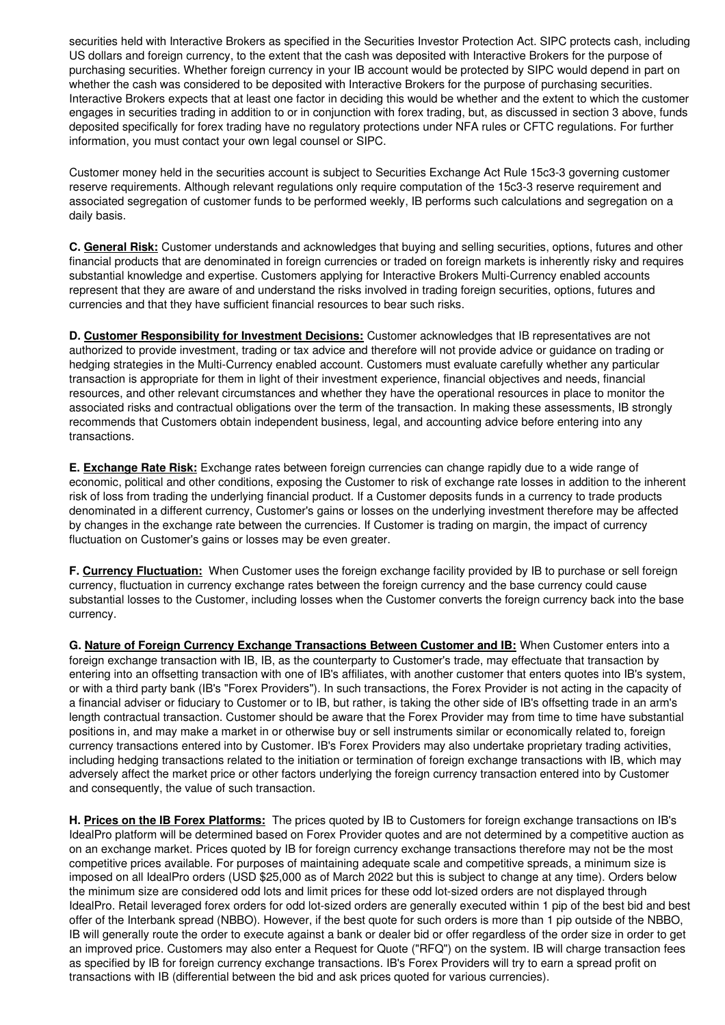securities held with Interactive Brokers as specified in the Securities Investor Protection Act. SIPC protects cash, including US dollars and foreign currency, to the extent that the cash was deposited with Interactive Brokers for the purpose of purchasing securities. Whether foreign currency in your IB account would be protected by SIPC would depend in part on whether the cash was considered to be deposited with Interactive Brokers for the purpose of purchasing securities. Interactive Brokers expects that at least one factor in deciding this would be whether and the extent to which the customer engages in securities trading in addition to or in conjunction with forex trading, but, as discussed in section 3 above, funds deposited specifically for forex trading have no regulatory protections under NFA rules or CFTC regulations. For further information, you must contact your own legal counsel or SIPC.

Customer money held in the securities account is subject to Securities Exchange Act Rule 15c3-3 governing customer reserve requirements. Although relevant regulations only require computation of the 15c3-3 reserve requirement and associated segregation of customer funds to be performed weekly, IB performs such calculations and segregation on a daily basis.

**C. General Risk:** Customer understands and acknowledges that buying and selling securities, options, futures and other financial products that are denominated in foreign currencies or traded on foreign markets is inherently risky and requires substantial knowledge and expertise. Customers applying for Interactive Brokers Multi-Currency enabled accounts represent that they are aware of and understand the risks involved in trading foreign securities, options, futures and currencies and that they have sufficient financial resources to bear such risks.

**D. Customer Responsibility for Investment Decisions:** Customer acknowledges that IB representatives are not authorized to provide investment, trading or tax advice and therefore will not provide advice or guidance on trading or hedging strategies in the Multi-Currency enabled account. Customers must evaluate carefully whether any particular transaction is appropriate for them in light of their investment experience, financial objectives and needs, financial resources, and other relevant circumstances and whether they have the operational resources in place to monitor the associated risks and contractual obligations over the term of the transaction. In making these assessments, IB strongly recommends that Customers obtain independent business, legal, and accounting advice before entering into any transactions.

**E. Exchange Rate Risk:** Exchange rates between foreign currencies can change rapidly due to a wide range of economic, political and other conditions, exposing the Customer to risk of exchange rate losses in addition to the inherent risk of loss from trading the underlying financial product. If a Customer deposits funds in a currency to trade products denominated in a different currency, Customer's gains or losses on the underlying investment therefore may be affected by changes in the exchange rate between the currencies. If Customer is trading on margin, the impact of currency fluctuation on Customer's gains or losses may be even greater.

**F. Currency Fluctuation:** When Customer uses the foreign exchange facility provided by IB to purchase or sell foreign currency, fluctuation in currency exchange rates between the foreign currency and the base currency could cause substantial losses to the Customer, including losses when the Customer converts the foreign currency back into the base currency.

**G. Nature of Foreign Currency Exchange Transactions Between Customer and IB:** When Customer enters into a foreign exchange transaction with IB, IB, as the counterparty to Customer's trade, may effectuate that transaction by entering into an offsetting transaction with one of IB's affiliates, with another customer that enters quotes into IB's system, or with a third party bank (IB's "Forex Providers"). In such transactions, the Forex Provider is not acting in the capacity of a financial adviser or fiduciary to Customer or to IB, but rather, is taking the other side of IB's offsetting trade in an arm's length contractual transaction. Customer should be aware that the Forex Provider may from time to time have substantial positions in, and may make a market in or otherwise buy or sell instruments similar or economically related to, foreign currency transactions entered into by Customer. IB's Forex Providers may also undertake proprietary trading activities, including hedging transactions related to the initiation or termination of foreign exchange transactions with IB, which may adversely affect the market price or other factors underlying the foreign currency transaction entered into by Customer and consequently, the value of such transaction.

**H. Prices on the IB Forex Platforms:** The prices quoted by IB to Customers for foreign exchange transactions on IB's IdealPro platform will be determined based on Forex Provider quotes and are not determined by a competitive auction as on an exchange market. Prices quoted by IB for foreign currency exchange transactions therefore may not be the most competitive prices available. For purposes of maintaining adequate scale and competitive spreads, a minimum size is imposed on all IdealPro orders (USD \$25,000 as of March 2022 but this is subject to change at any time). Orders below the minimum size are considered odd lots and limit prices for these odd lot-sized orders are not displayed through IdealPro. Retail leveraged forex orders for odd lot-sized orders are generally executed within 1 pip of the best bid and best offer of the Interbank spread (NBBO). However, if the best quote for such orders is more than 1 pip outside of the NBBO, IB will generally route the order to execute against a bank or dealer bid or offer regardless of the order size in order to get an improved price. Customers may also enter a Request for Quote ("RFQ") on the system. IB will charge transaction fees as specified by IB for foreign currency exchange transactions. IB's Forex Providers will try to earn a spread profit on transactions with IB (differential between the bid and ask prices quoted for various currencies).